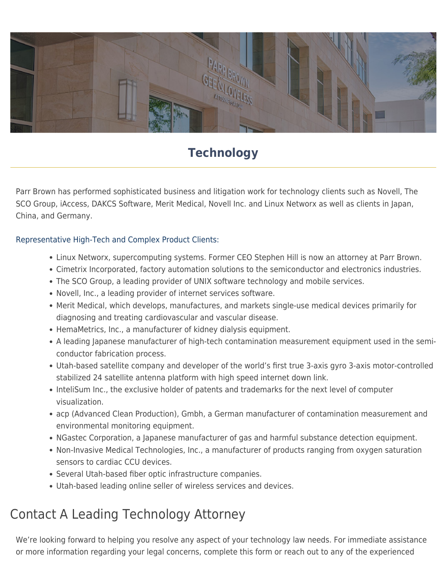

## **Technology**

Parr Brown has performed sophisticated business and litigation work for technology clients such as Novell, The SCO Group, iAccess, DAKCS Software, Merit Medical, Novell Inc. and Linux Networx as well as clients in Japan, China, and Germany.

## Representative High-Tech and Complex Product Clients:

- Linux Networx, supercomputing systems. Former CEO Stephen Hill is now an attorney at Parr Brown.
- Cimetrix Incorporated, factory automation solutions to the semiconductor and electronics industries.
- The SCO Group, a leading provider of UNIX software technology and mobile services.
- Novell, Inc., a leading provider of internet services software.
- Merit Medical, which develops, manufactures, and markets single-use medical devices primarily for diagnosing and treating cardiovascular and vascular disease.
- HemaMetrics, Inc., a manufacturer of kidney dialysis equipment.
- A leading Japanese manufacturer of high-tech contamination measurement equipment used in the semiconductor fabrication process.
- Utah-based satellite company and developer of the world's first true 3-axis gyro 3-axis motor-controlled stabilized 24 satellite antenna platform with high speed internet down link.
- InteliSum Inc., the exclusive holder of patents and trademarks for the next level of computer visualization.
- acp (Advanced Clean Production), Gmbh, a German manufacturer of contamination measurement and environmental monitoring equipment.
- NGastec Corporation, a Japanese manufacturer of gas and harmful substance detection equipment.
- Non-Invasive Medical Technologies, Inc., a manufacturer of products ranging from oxygen saturation sensors to cardiac CCU devices.
- Several Utah-based fiber optic infrastructure companies.
- Utah-based leading online seller of wireless services and devices.

## Contact A Leading Technology Attorney

We're looking forward to helping you resolve any aspect of your technology law needs. For immediate assistance or more information regarding your legal concerns, complete this form or reach out to any of the experienced